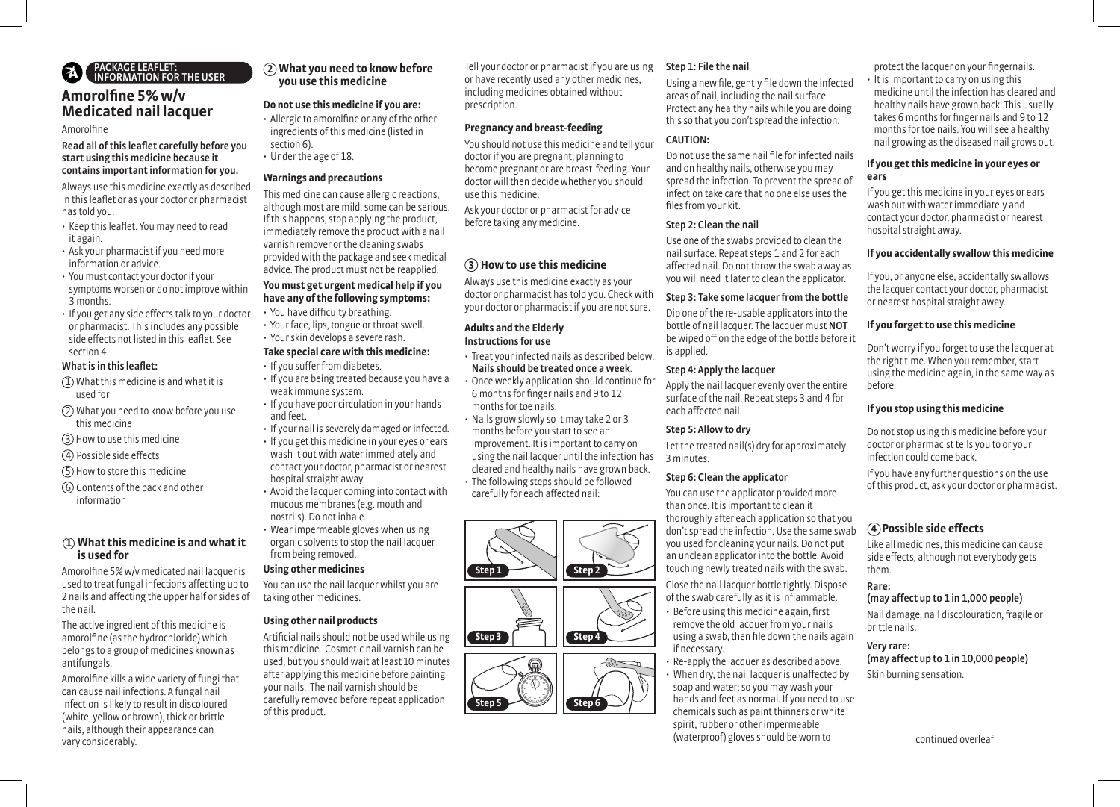# PACKAGE LEAFLET: INFORMATION FOR THE USER

## **Amorolfine 5% w/v Medicated nail lacquer**

#### Amorolfine

#### Read all of this leaflet carefully before you start using this medicine because it contains important information for you.

Always use this medicine exactly as described in this leaflet or as your doctor or pharmacist has told you.

- Keep this leaflet. You may need to read it again.
- Ask your pharmacist if you need more information or advice.
- You must contact your doctor if your symptoms worsen or do not improve within 3 months.
- If you get any side effects talk to your doctor or pharmacist. This includes any possible side effects not listed in this leaflet. See section 4.

#### What is in this leaflet:

- 1 What this medicine is and what it is used for
- (2) What you need to know before you use this medicine
- 3 How to use this medicine
- (4) Possible side effects
- 5 How to store this medicine
- 6 Contents of the pack and other information

## **1 What this medicine is and what it is used for**

Amorolfine 5% w/v medicated nail lacquer is used to treat fungal infections affecting up to 2 nails and affecting the upper half or sides of the nail.

The active ingredient of this medicine is amorolfine (as the hydrochloride) which belongs to a group of medicines known as antifungals.

Amorolfine kills a wide variety of fungi that can cause nail infections. A fungal nail infection is likely to result in discoloured (white, yellow or brown), thick or brittle nails, although their appearance can vary considerably.

## **2 What you need to know before you use this medicine**

## **Do not use this medicine if you are:**

- Allergic to amorolfine or any of the other ingredients of this medicine (listed in section 6).
- Under the age of 18.

#### **Warnings and precautions**

This medicine can cause allergic reactions, although most are mild, some can be serious. If this happens, stop applying the product, immediately remove the product with a nail varnish remover or the cleaning swabs provided with the package and seek medical advice. The product must not be reapplied.

#### **You must get urgent medical help if you have any of the following symptoms:**

- You have difficulty breathing.
- Your face, lips, tongue or throat swell.
- Your skin develops a severe rash.

#### **Take special care with this medicine:**

- If you suffer from diabetes.
- If you are being treated because you have a weak immune system.
- If you have poor circulation in your hands and feet.
- If your nail is severely damaged or infected.
- If you get this medicine in your eyes or ears wash it out with water immediately and contact your doctor, pharmacist or nearest hospital straight away.
- Avoid the lacquer coming into contact with mucous membranes (e.g. mouth and nostrils). Do not inhale.
- Wear impermeable gloves when using organic solvents to stop the nail lacquer from being removed.

## **Using other medicines**

You can use the nail lacquer whilst you are taking other medicines.

## **Using other nail products**

Artificial nails should not be used while using this medicine. Cosmetic nail varnish can be used, but you should wait at least 10 minutes after applying this medicine before painting your nails. The nail varnish should be carefully removed before repeat application of this product.

Tell your doctor or pharmacist if you are using or have recently used any other medicines, including medicines obtained without prescription.

## **Pregnancy and breast-feeding**

You should not use this medicine and tell your doctor if you are pregnant, planning to become pregnant or are breast-feeding. Your doctor will then decide whether you should use this medicine.

Ask your doctor or pharmacist for advice before taking any medicine.

## **How to use this medicine 3**

Always use this medicine exactly as your doctor or pharmacist has told you. Check with your doctor or pharmacist if you are not sure.

## **Adults and the Elderly** Instructions for use

• Treat your infected nails as described below. Nails should be treated once a week. • Once weekly application should continue for 6 months for finger nails and 9 to 12 months for toe nails.

• Nails grow slowly so it may take 2 or 3 months before you start to see an improvement. It is important to carry on using the nail lacquer until the infection has cleared and healthy nails have grown back. • The following steps should be followed carefully for each affected nail:



### Step 1: File the nail

Using a new file, gently file down the infected areas of nail, including the nail surface. Protect any healthy nails while you are doing this so that you don't spread the infection.

#### CAUTION:

Do not use the same nail file for infected nails and on healthy nails, otherwise you may spread the infection. To prevent the spread of infection take care that no one else uses the files from your kit.

### Step 2: Clean the nail

Use one of the swabs provided to clean the nail surface. Repeat steps 1 and 2 for each affected nail. Do not throw the swab away as you will need it later to clean the applicator.

### Step 3: Take some lacquer from the bottle

Dip one of the re-usable applicators into the bottle of nail lacquer. The lacquer must NOT be wiped off on the edge of the bottle before it is applied.

### Step 4: Apply the lacquer

Apply the nail lacquer evenly over the entire surface of the nail. Repeat steps 3 and 4 for each affected nail.

#### Step 5: Allow to dry

Let the treated nail(s) dry for approximately 3 minutes.

## Step 6: Clean the applicator

You can use the applicator provided more than once. It is important to clean it thoroughly after each application so that you don't spread the infection. Use the same swab you used for cleaning your nails. Do not put an unclean applicator into the bottle. Avoid touching newly treated nails with the swab.

Close the nail lacquer bottle tightly. Dispose of the swab carefully as it is inflammable. • Before using this medicine again, first remove the old lacquer from your nails using a swab, then file down the nails again if necessary.

• Re-apply the lacquer as described above. • When dry, the nail lacquer is unaffected by soap and water; so you may wash your hands and feet as normal. If you need to use chemicals such as paint thinners or white spirit, rubber or other impermeable (waterproof) gloves should be worn to

protect the lacquer on your fingernails.

• It is important to carry on using this medicine until the infection has cleared and healthy nails have grown back. This usually takes 6 months for finger nails and 9 to 12 months for toe nails. You will see a healthy nail growing as the diseased nail grows out.

## **If you get this medicine in your eyes or ears**

If you get this medicine in your eyes or ears wash out with water immediately and contact your doctor, pharmacist or nearest hospital straight away.

## **If you accidentally swallow this medicine**

If you, or anyone else, accidentally swallows the lacquer contact your doctor, pharmacist or nearest hospital straight away.

## **If you forget to use this medicine**

Don't worry if you forget to use the lacquer at the right time. When you remember, start using the medicine again, in the same way as before.

#### **If you stop using this medicine**

Do not stop using this medicine before your doctor or pharmacist tells you to or your infection could come back.

If you have any further questions on the use of this product, ask your doctor or pharmacist.

## **4 Possible side effects**

Like all medicines, this medicine can cause side effects, although not everybody gets them.

### Rare:

(may affect up to 1 in 1,000 people)

Nail damage, nail discolouration, fragile or brittle nails.

## Very rare:

(may affect up to 1 in 10,000 people) Skin burning sensation.

continued overleaf